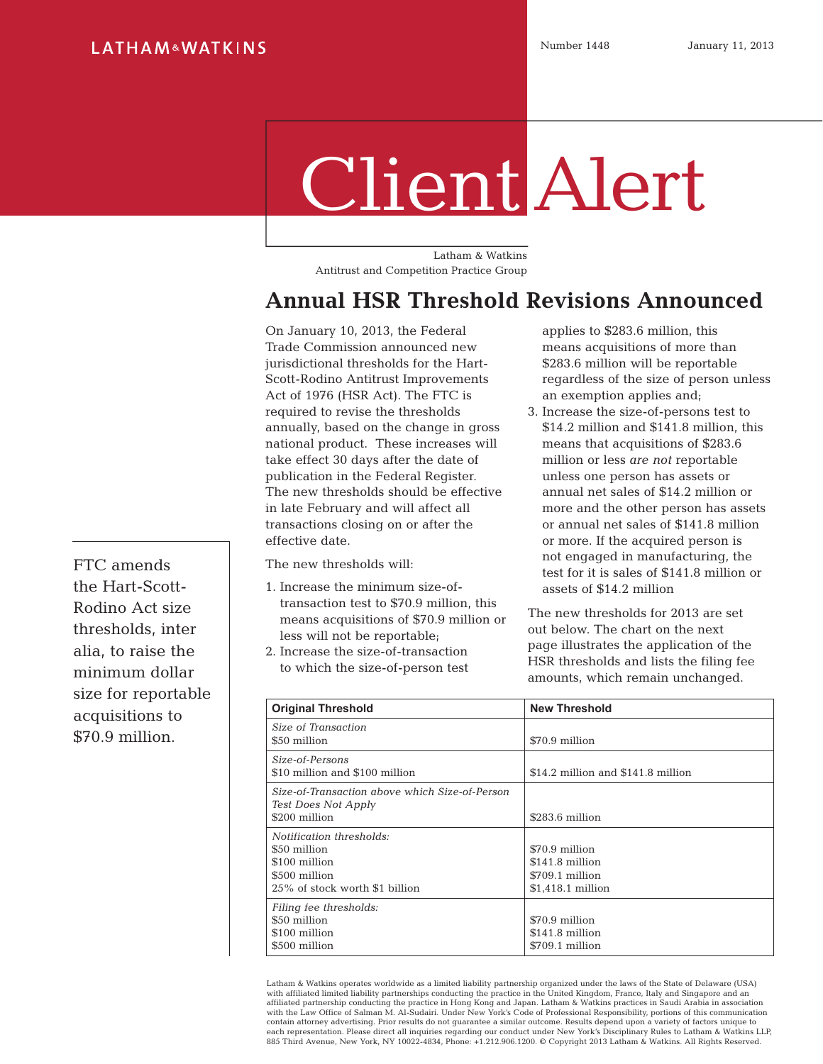## Client Alert

Latham & Watkins Antitrust and Competition Practice Group

## **Annual HSR Threshold Revisions Announced**

On January 10, 2013, the Federal Trade Commission announced new jurisdictional thresholds for the Hart-Scott-Rodino Antitrust Improvements Act of 1976 (HSR Act). The FTC is required to revise the thresholds annually, based on the change in gross national product. These increases will take effect 30 days after the date of publication in the Federal Register. The new thresholds should be effective in late February and will affect all transactions closing on or after the effective date.

The new thresholds will:

- 1. Increase the minimum size-oftransaction test to \$70.9 million, this means acquisitions of \$70.9 million or less will not be reportable;
- 2. Increase the size-of-transaction to which the size-of-person test

applies to \$283.6 million, this means acquisitions of more than \$283.6 million will be reportable regardless of the size of person unless an exemption applies and;

3. Increase the size-of-persons test to \$14.2 million and \$141.8 million, this means that acquisitions of \$283.6 million or less *are not* reportable unless one person has assets or annual net sales of \$14.2 million or more and the other person has assets or annual net sales of \$141.8 million or more. If the acquired person is not engaged in manufacturing, the test for it is sales of \$141.8 million or assets of \$14.2 million

The new thresholds for 2013 are set out below. The chart on the next page illustrates the application of the HSR thresholds and lists the filing fee amounts, which remain unchanged.

| <b>Original Threshold</b>                                                                                    | <b>New Threshold</b>                                                      |
|--------------------------------------------------------------------------------------------------------------|---------------------------------------------------------------------------|
| Size of Transaction<br>\$50 million                                                                          | \$70.9 million                                                            |
| Size-of-Persons<br>\$10 million and \$100 million                                                            | \$14.2 million and \$141.8 million                                        |
| Size-of-Transaction above which Size-of-Person<br>Test Does Not Apply<br>\$200 million                       | \$283.6 million                                                           |
| Notification thresholds:<br>\$50 million<br>\$100 million<br>\$500 million<br>25% of stock worth \$1 billion | \$70.9 million<br>\$141.8 million<br>\$709.1 million<br>\$1,418.1 million |
| Filing fee thresholds:<br>\$50 million<br>\$100 million<br>\$500 million                                     | \$70.9 million<br>\$141.8 million<br>\$709.1 million                      |

Latham & Watkins operates worldwide as a limited liability partnership organized under the laws of the State of Delaware (USA)<br>with affiliated limited liability partnerships conducting the practice in the United Kingdom, F affiliated partnership conducting the practice in Hong Kong and Japan. Latham & Watkins practices in Saudi Arabia in association with the Law Office of Salman M. Al-Sudairi. Under New York's Code of Professional Responsibility, portions of this communication<br>contain attorney advertising. Prior results do not quarantee a similar outcome. Results depe each representation. Please direct all inquiries regarding our conduct under New York's Disciplinary Rules to Latham & Watkins LLP, 885 Third Avenue, New York, NY 10022-4834, Phone: +1.212.906.1200. © Copyright 2013 Latham & Watkins. All Rights Reserved.

FTC amends the Hart-Scott-Rodino Act size thresholds, inter alia, to raise the minimum dollar size for reportable acquisitions to \$70.9 million.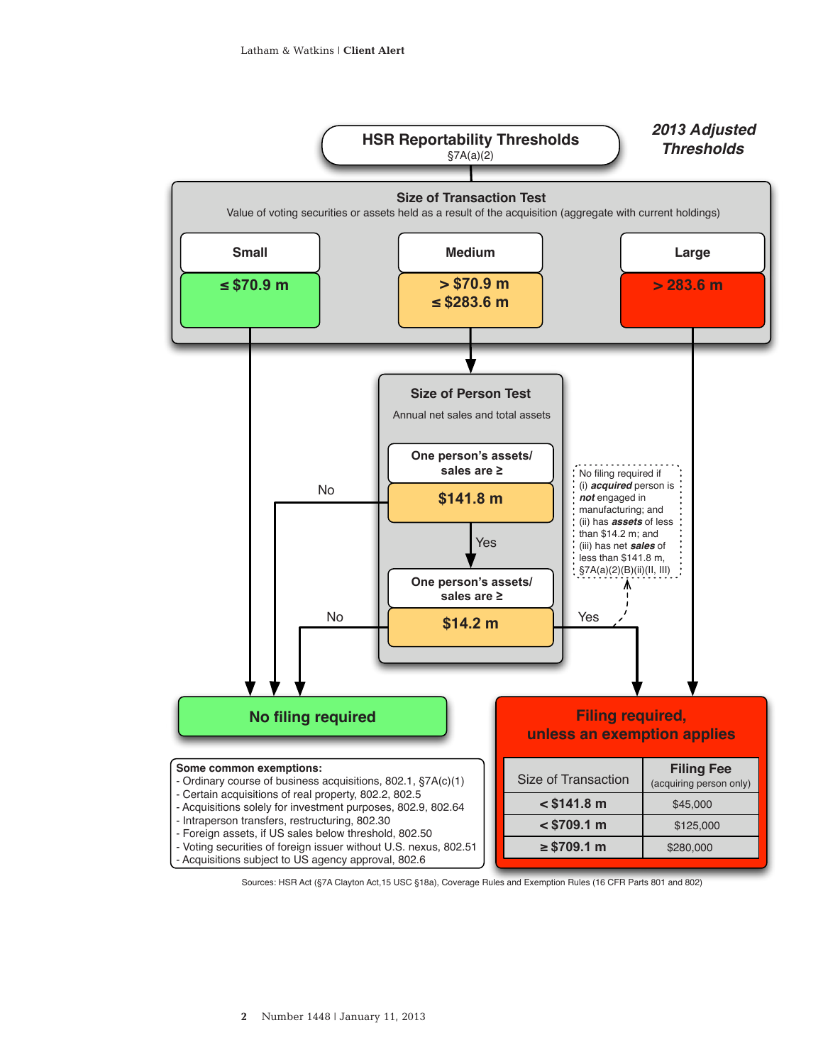

Sources: HSR Act (§7A Clayton Act,15 USC §18a), Coverage Rules and Exemption Rules (16 CFR Parts 801 and 802)